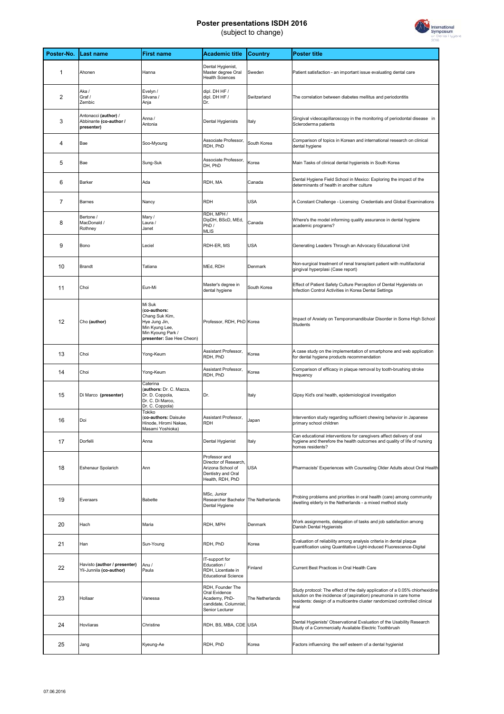## **Poster presentations ISDH 2016** (subject to change)



| Poster-No.     | Last name                                                    | <b>First name</b>                                                                                                             | <b>Academic title</b>                                                                                 | <b>Country</b>  | <b>Poster title</b>                                                                                                                                                                                                                    |
|----------------|--------------------------------------------------------------|-------------------------------------------------------------------------------------------------------------------------------|-------------------------------------------------------------------------------------------------------|-----------------|----------------------------------------------------------------------------------------------------------------------------------------------------------------------------------------------------------------------------------------|
| $\mathbf{1}$   | Ahonen                                                       | Hanna                                                                                                                         | Dental Hygienist,<br>Master degree Oral<br><b>Health Sciences</b>                                     | Sweden          | Patient satisfaction - an important issue evaluating dental care                                                                                                                                                                       |
| 2              | Aka/<br>Graf /<br>Zembic                                     | Evelyn /<br>Silvana /<br>Anja                                                                                                 | dipl. DH HF /<br>dipl. DH HF /<br>Dr.                                                                 | Switzerland     | The correlation between diabetes mellitus and periodontitis                                                                                                                                                                            |
| 3              | Antonacci (author) /<br>Abbinante (co-author /<br>presenter) | Anna /<br>Antonia                                                                                                             | Dental Hygienists                                                                                     | Italy           | Gingival videocapillaroscopy in the monitoring of periodontal disease in<br>Scleroderma patients                                                                                                                                       |
| $\overline{4}$ | Bae                                                          | Soo-Myoung                                                                                                                    | Associate Professor,<br>RDH, PhD                                                                      | South Korea     | Comparison of topics in Korean and international research on clinical<br>dental hygiene                                                                                                                                                |
| 5              | Bae                                                          | Sung-Suk                                                                                                                      | Associate Professor,<br>DH, PhD                                                                       | Korea           | Main Tasks of clinical dental hygienists in South Korea                                                                                                                                                                                |
| 6              | Barker                                                       | Ada                                                                                                                           | RDH, MA                                                                                               | Canada          | Dental Hygiene Field School in Mexico: Exploring the impact of the<br>determinants of health in another culture                                                                                                                        |
| $\overline{7}$ | Barnes                                                       | Nancy                                                                                                                         | <b>RDH</b>                                                                                            | <b>USA</b>      | A Constant Challenge - Licensing Credentials and Global Examinations                                                                                                                                                                   |
| 8              | Bertone /<br>MacDonald /<br>Rothney                          | Mary /<br>Laura /<br>Janet                                                                                                    | RDH, MPH /<br>DipDH, BScD, MEd,<br>PhD /<br><b>MLIS</b>                                               | Canada          | Where's the model informing quality assurance in dental hygiene<br>academic programs?                                                                                                                                                  |
| 9              | Bono                                                         | Leciel                                                                                                                        | RDH-ER, MS                                                                                            | <b>USA</b>      | Generating Leaders Through an Advocacy Educational Unit                                                                                                                                                                                |
| 10             | Brandt                                                       | Tatiana                                                                                                                       | MEd, RDH                                                                                              | Denmark         | Non-surgical treatment of renal transplant patient with multifactorial<br>gingival hyperplasi (Case report)                                                                                                                            |
| 11             | Choi                                                         | Eun-Mi                                                                                                                        | Master's degree in<br>dental hygiene                                                                  | South Korea     | Effect of Patient Safety Culture Perception of Dental Hygienists on<br>Infection Control Activities in Korea Dental Settings                                                                                                           |
| 12             | Cho (author)                                                 | Mi Suk<br>(co-authors:<br>Chang Suk Kim,<br>Hye Jung Jin,<br>Min Kyung Lee,<br>Min Kyoung Park /<br>presenter: Sae Hee Cheon) | Professor, RDH, PhD Korea                                                                             |                 | Impact of Anxiety on Temporomandibular Disorder in Some High School<br>Students                                                                                                                                                        |
| 13             | Choi                                                         | Yong-Keum                                                                                                                     | Assistant Professor,<br>RDH, PhD                                                                      | Korea           | A case study on the implementation of smartphone and web application<br>for dental hygiene products recommendation                                                                                                                     |
| 14             | Choi                                                         | Yong-Keum                                                                                                                     | Assistant Professor,<br>RDH, PhD                                                                      | Korea           | Comparison of efficacy in plaque removal by tooth-brushing stroke<br>frequency                                                                                                                                                         |
| 15             | Di Marco (presenter)                                         | Caterina<br>(authors: Dr. C. Mazza,<br>Dr. D. Coppola,<br>Dr. C. Di Marco,<br>Dr. C. Coppola)                                 | Dr.                                                                                                   | Italy           | Gipsy Kid's oral health, epidemiological investigation                                                                                                                                                                                 |
| 16             | Doi                                                          | Tokiko<br>(co-authors: Daisuke<br>Hinode, Hiromi Nakae,<br>Masami Yoshioka)                                                   | Assistant Professor,<br><b>RDH</b>                                                                    | Japan           | Intervention study regarding sufficient chewing behavior in Japanese<br>primary school children                                                                                                                                        |
| 17             | Dorfelli                                                     | Anna                                                                                                                          | Dental Hygienist                                                                                      | Italy           | Can educational interventions for caregivers affect delivery of oral<br>hygiene and therefore the health outcomes and quality of life of nursing<br>homes residents?                                                                   |
| 18             | Eshenaur Spolarich                                           | Ann                                                                                                                           | Professor and<br>Director of Research,<br>Arizona School of<br>Dentistry and Oral<br>Health, RDH, PhD | <b>USA</b>      | Pharmacists' Experiences with Counseling Older Adults about Oral Health                                                                                                                                                                |
| 19             | Everaars                                                     | <b>Babette</b>                                                                                                                | MSc, Junior<br>Researcher Bachelor<br>Dental Hygiene                                                  | The Netherlands | Probing problems and priorities in oral health (care) among community<br>dwelling elderly in the Netherlands - a mixed method study                                                                                                    |
| 20             | Hach                                                         | Maria                                                                                                                         | RDH, MPH                                                                                              | Denmark         | Work assignments, delegation of tasks and job satisfaction among<br>Danish Dental Hygienists                                                                                                                                           |
| 21             | Han                                                          | Sun-Young                                                                                                                     | RDH, PhD                                                                                              | Korea           | Evaluation of reliability among analysis criteria in dental plaque<br>quantification using Quantitative Light-induced Fluorescence-Digital                                                                                             |
| 22             | Havisto (author / presenter)<br>Yli-Junnila (co-author)      | Anu /<br>Paula                                                                                                                | IT-support for<br>Education /<br>RDH, Licentiate in<br><b>Educational Science</b>                     | Finland         | Current Best Practices in Oral Health Care                                                                                                                                                                                             |
| 23             | Hollaar                                                      | Vanessa                                                                                                                       | RDH, Founder The<br>Oral Evidence<br>Academy, PhD-<br>candidate, Columnist,<br>Senior Lecturer        | The Netherlands | Study protocol: The effect of the daily application of a 0.05% chlorhexidine<br>solution on the incidence of (aspiration) pneumonia in care home<br>residents: design of a multicentre cluster randomized controlled clinical<br>trial |
| 24             | Hovliaras                                                    | Christine                                                                                                                     | RDH, BS, MBA, CDE USA                                                                                 |                 | Dental Hygienists' Observational Evaluation of the Usability Research<br>Study of a Commercially Available Electric Toothbrush                                                                                                         |
| 25             | Jang                                                         | Kyeung-Ae                                                                                                                     | RDH, PhD                                                                                              | Korea           | Factors influencing the self esteem of a dental hygienist                                                                                                                                                                              |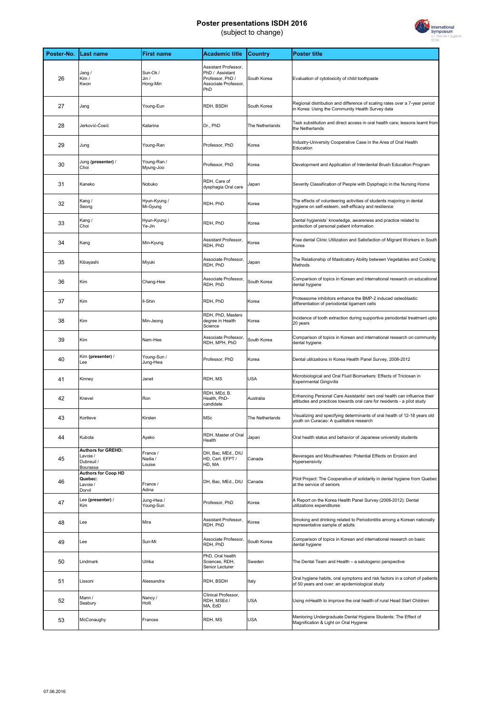## **Poster presentations ISDH 2016** (subject to change)



| Poster-No. | <b>Last name</b>                                                | <b>First name</b>             | <b>Academic title</b>                                                                      | Country         | <b>Poster title</b>                                                                                                                                |
|------------|-----------------------------------------------------------------|-------------------------------|--------------------------------------------------------------------------------------------|-----------------|----------------------------------------------------------------------------------------------------------------------------------------------------|
| 26         | Jang /<br>Kim /<br>Kwon                                         | Sun-Ok /<br>Jin /<br>Hong-Min | Assistant Professor,<br>PhD / Assistant<br>Professor, PhD /<br>Associate Professor,<br>PhD | South Korea     | Evaluation of cytotoxicity of child toothpaste                                                                                                     |
| 27         | Jang                                                            | Young-Eun                     | RDH, BSDH                                                                                  | South Korea     | Regional distribution and difference of scaling rates over a 7-year period<br>in Korea: Using the Community Health Survey data                     |
| 28         | Jerković-Ćosić                                                  | Katarina                      | Dr., PhD                                                                                   | The Netherlands | Task substitution and direct access in oral health care; lessons learnt from<br>the Netherlands                                                    |
| 29         | Jung                                                            | Young-Ran                     | Professor, PhD                                                                             | Korea           | Industry-University Cooperative Case in the Area of Oral Health<br>Education                                                                       |
| 30         | Jung (presenter) /<br>Choi                                      | Young-Ran /<br>Myung-Joo      | Professor, PhD                                                                             | Korea           | Development and Application of Interdental Brush Education Program                                                                                 |
| 31         | Kaneko                                                          | Nobuko                        | RDH, Care of<br>dysphagia Oral care                                                        | Japan           | Severity Classification of People with Dysphagic in the Nursing Home                                                                               |
| 32         | Kang /<br>Seong                                                 | Hyun-Kyung /<br>Mi-Gyung      | RDH, PhD                                                                                   | Korea           | The effects of volunteering activities of students majoring in dental<br>hygiene on self-esteem, self-efficacy and resilience                      |
| 33         | Kang /<br>Choi                                                  | Hyun-Kyung /<br>Ye-Jin        | RDH, PhD                                                                                   | Korea           | Dental hygienists' knowledge, awareness and practice related to<br>protection of personal patient information                                      |
| 34         | Kang                                                            | Min-Kyung                     | Assistant Professor,<br>RDH, PhD                                                           | Korea           | Free dental Clinic Utilization and Satisfaction of Migrant Workers in South<br>Korea                                                               |
| 35         | Kibayashi                                                       | Miyuki                        | Associate Professor,<br>RDH, PhD                                                           | Japan           | The Relationship of Masticatory Ability between Vegetables and Cooking<br>Methods                                                                  |
| 36         | Kim                                                             | Chang-Hee                     | Associate Professor,<br>RDH, PhD                                                           | South Korea     | Comparison of topics in Korean and international research on educational<br>dental hygiene                                                         |
| 37         | Kim                                                             | Il-Shin                       | RDH, PhD                                                                                   | Korea           | Proteasome inhibitors enhance the BMP-2 induced osteoblastic<br>differentiation of periodontal ligament cells                                      |
| 38         | Kim                                                             | Min-Jeong                     | RDH, PhD, Masters<br>degree in Health<br>Science                                           | Korea           | Incidence of tooth extraction during supportive periodontal treatment upto<br>20 years                                                             |
| 39         | Kim                                                             | Nam-Hee                       | Associate Professor,<br>RDH, MPH, PhD                                                      | South Korea     | Comparison of topics in Korean and international research on community<br>dental hygiene                                                           |
| 40         | Kim (presenter) /<br>Lee                                        | Young-Sun /<br>Jung-Hwa       | Professor, PhD                                                                             | Korea           | Dental utilizations in Korea Health Panel Survey, 2008-2012                                                                                        |
| 41         | Kinney                                                          | Janet                         | RDH, MS                                                                                    | <b>USA</b>      | Microbiological and Oral Fluid Biomarkers: Effects of Triclosan in<br><b>Experimental Gingivitis</b>                                               |
| 42         | Knevel                                                          | Ron                           | RDH, MEd, B.<br>Health, PhD-<br>candidate                                                  | Australia       | Enhancing Personal Care Assistants' own oral health can influence their<br>attitudes and practices towards oral care for residents - a pilot study |
| 43         | Kortleve                                                        | Kirsten                       | MSc                                                                                        | The Netherlands | Visualizing and specifying determinants of oral health of 12-18 years old<br>youth on Curacao: A qualitative research                              |
| 44         | Kubota                                                          | Ayako                         | RDH, Master of Oral<br>Health                                                              | Japan           | Oral health status and behavior of Japanese university students                                                                                    |
| 45         | <b>Authors for GREHD:</b><br>Lavoie /<br>Dubreuil /<br>Bourassa | France /<br>Nadia /<br>Louise | DH, Bac, MEd., DIU<br>HD, Cert. EFPT /<br>HD, MA                                           | Canada          | Beverages and Mouthwashes: Potential Effects on Erosion and<br>Hypersensivity                                                                      |
| 46         | <b>Authors for Coop HD</b><br>Quebec:<br>Lavoie /<br>Dorvil     | France /<br>Adina             | DH, Bac, MEd., DIU                                                                         | Canada          | Pilot Project: The Cooperative of solidarity in dental hygiene from Quebec<br>at the service of seniors                                            |
| 47         | Lee (presenter) /<br>Kim                                        | Jung-Hwa/<br>Young-Sun        | Professor, PhD                                                                             | Korea           | A Report on the Korea Health Panel Survey (2008-2012): Dental<br>utilizations expenditures                                                         |
| 48         | Lee                                                             | Mira                          | Assistant Professor,<br>RDH, PhD                                                           | Korea           | Smoking and drinking related to Periodontitis among a Korean nationally<br>representative sample of adults                                         |
| 49         | Lee                                                             | Sun-Mi                        | Associate Professor,<br>RDH, PhD                                                           | South Korea     | Comparison of topics in Korean and international research on basic<br>dental hygiene                                                               |
| 50         | Lindmark                                                        | Ulrika                        | PhD, Oral health<br>Sciences, RDH,<br>Senior Lecturer                                      | Sweden          | The Dental Team and Health - a salutogenic perspective                                                                                             |
| 51         | Lissoni                                                         | Alessandra                    | RDH, BSDH                                                                                  | Italy           | Oral hygiene habits, oral symptoms and risk factors in a cohort of patients<br>of 50 years and over: an epidemiological study                      |
| 52         | Mann /<br>Seabury                                               | Nancy /<br>Holli              | Clinical Professor,<br>RDH, MSEd /<br>MA, EdD                                              | <b>USA</b>      | Using mHealth to improve the oral health of rural Head Start Children                                                                              |
| 53         | McConaughy                                                      | Frances                       | RDH, MS                                                                                    | <b>USA</b>      | Mentoring Undergraduate Dental Hygiene Students: The Effect of<br>Magnification & Light on Oral Hygiene                                            |